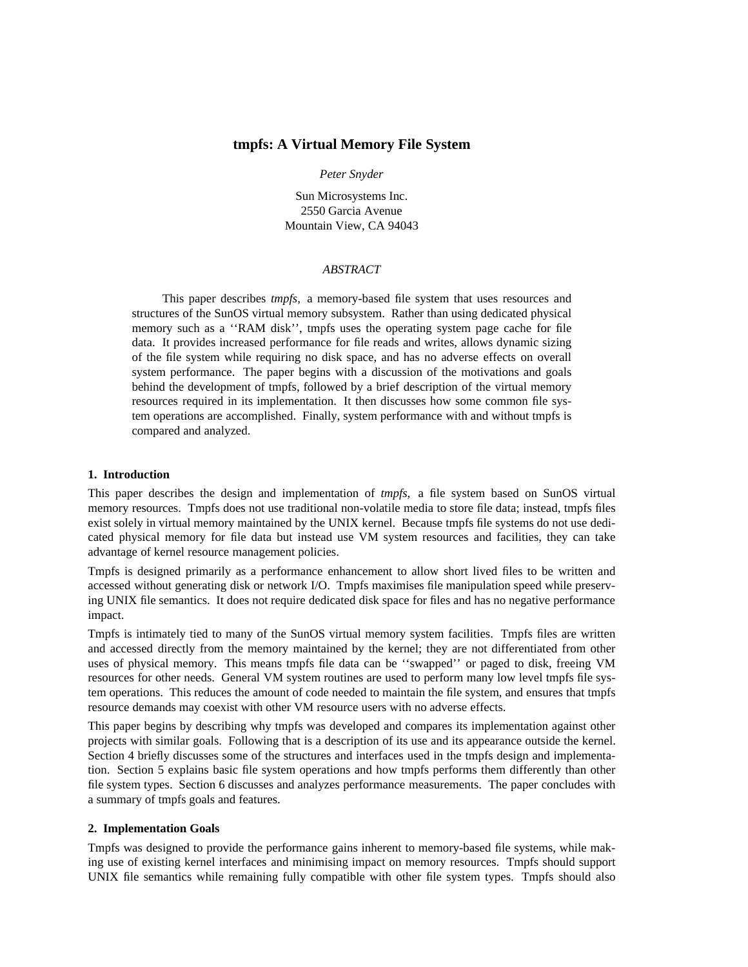# **tmpfs: A Virtual Memory File System**

### *Peter Snyder*

Sun Microsystems Inc. 2550 Garcia Avenue Mountain View, CA 94043

### *ABSTRACT*

This paper describes *tmpfs,* a memory-based file system that uses resources and structures of the SunOS virtual memory subsystem. Rather than using dedicated physical memory such as a ''RAM disk'', tmpfs uses the operating system page cache for file data. It provides increased performance for file reads and writes, allows dynamic sizing of the file system while requiring no disk space, and has no adverse effects on overall system performance. The paper begins with a discussion of the motivations and goals behind the development of tmpfs, followed by a brief description of the virtual memory resources required in its implementation. It then discusses how some common file system operations are accomplished. Finally, system performance with and without tmpfs is compared and analyzed.

### **1. Introduction**

This paper describes the design and implementation of *tmpfs,* a file system based on SunOS virtual memory resources. Tmpfs does not use traditional non-volatile media to store file data; instead, tmpfs files exist solely in virtual memory maintained by the UNIX kernel. Because tmpfs file systems do not use dedicated physical memory for file data but instead use VM system resources and facilities, they can take advantage of kernel resource management policies.

Tmpfs is designed primarily as a performance enhancement to allow short lived files to be written and accessed without generating disk or network I/O. Tmpfs maximises file manipulation speed while preserving UNIX file semantics. It does not require dedicated disk space for files and has no negative performance impact.

Tmpfs is intimately tied to many of the SunOS virtual memory system facilities. Tmpfs files are written and accessed directly from the memory maintained by the kernel; they are not differentiated from other uses of physical memory. This means tmpfs file data can be ''swapped'' or paged to disk, freeing VM resources for other needs. General VM system routines are used to perform many low level tmpfs file system operations. This reduces the amount of code needed to maintain the file system, and ensures that tmpfs resource demands may coexist with other VM resource users with no adverse effects.

This paper begins by describing why tmpfs was developed and compares its implementation against other projects with similar goals. Following that is a description of its use and its appearance outside the kernel. Section 4 briefly discusses some of the structures and interfaces used in the tmpfs design and implementation. Section 5 explains basic file system operations and how tmpfs performs them differently than other file system types. Section 6 discusses and analyzes performance measurements. The paper concludes with a summary of tmpfs goals and features.

#### **2. Implementation Goals**

Tmpfs was designed to provide the performance gains inherent to memory-based file systems, while making use of existing kernel interfaces and minimising impact on memory resources. Tmpfs should support UNIX file semantics while remaining fully compatible with other file system types. Tmpfs should also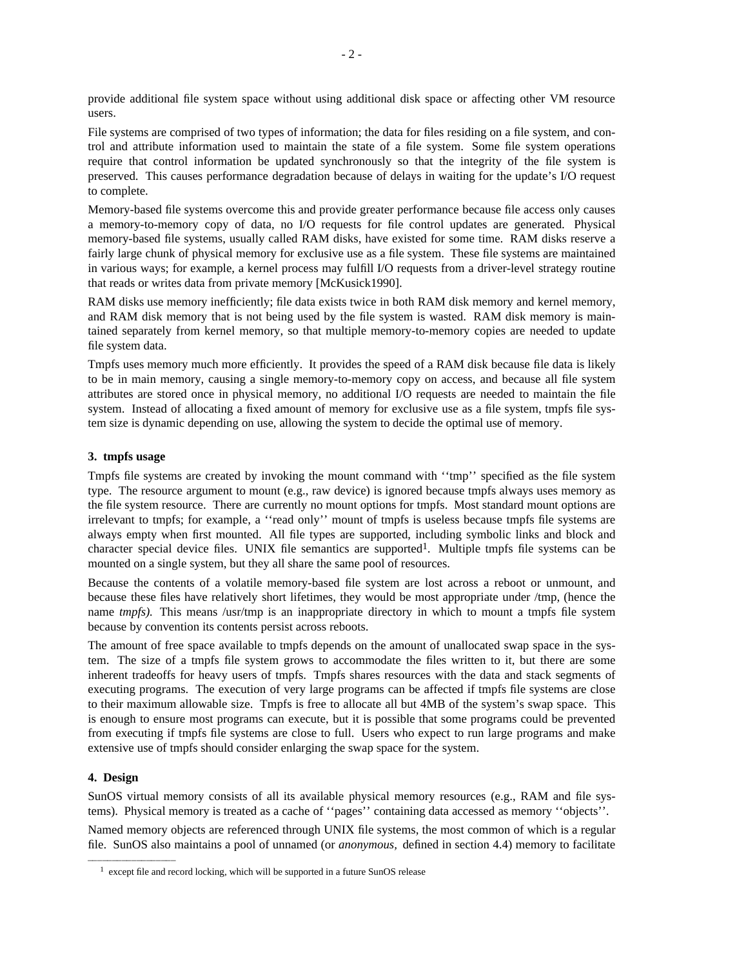provide additional file system space without using additional disk space or affecting other VM resource users.

File systems are comprised of two types of information; the data for files residing on a file system, and control and attribute information used to maintain the state of a file system. Some file system operations require that control information be updated synchronously so that the integrity of the file system is preserved. This causes performance degradation because of delays in waiting for the update's I/O request to complete.

Memory-based file systems overcome this and provide greater performance because file access only causes a memory-to-memory copy of data, no I/O requests for file control updates are generated. Physical memory-based file systems, usually called RAM disks, have existed for some time. RAM disks reserve a fairly large chunk of physical memory for exclusive use as a file system. These file systems are maintained in various ways; for example, a kernel process may fulfill I/O requests from a driver-level strategy routine that reads or writes data from private memory [McKusick1990].

RAM disks use memory inefficiently; file data exists twice in both RAM disk memory and kernel memory, and RAM disk memory that is not being used by the file system is wasted. RAM disk memory is maintained separately from kernel memory, so that multiple memory-to-memory copies are needed to update file system data.

Tmpfs uses memory much more efficiently. It provides the speed of a RAM disk because file data is likely to be in main memory, causing a single memory-to-memory copy on access, and because all file system attributes are stored once in physical memory, no additional I/O requests are needed to maintain the file system. Instead of allocating a fixed amount of memory for exclusive use as a file system, tmpfs file system size is dynamic depending on use, allowing the system to decide the optimal use of memory.

### **3. tmpfs usage**

Tmpfs file systems are created by invoking the mount command with ''tmp'' specified as the file system type. The resource argument to mount (e.g., raw device) is ignored because tmpfs always uses memory as the file system resource. There are currently no mount options for tmpfs. Most standard mount options are irrelevant to tmpfs; for example, a ''read only'' mount of tmpfs is useless because tmpfs file systems are always empty when first mounted. All file types are supported, including symbolic links and block and character special device files. UNIX file semantics are supported1. Multiple tmpfs file systems can be mounted on a single system, but they all share the same pool of resources.

Because the contents of a volatile memory-based file system are lost across a reboot or unmount, and because these files have relatively short lifetimes, they would be most appropriate under /tmp, (hence the name *tmpfs*). This means /usr/tmp is an inappropriate directory in which to mount a tmpfs file system because by convention its contents persist across reboots.

The amount of free space available to tmpfs depends on the amount of unallocated swap space in the system. The size of a tmpfs file system grows to accommodate the files written to it, but there are some inherent tradeoffs for heavy users of tmpfs. Tmpfs shares resources with the data and stack segments of executing programs. The execution of very large programs can be affected if tmpfs file systems are close to their maximum allowable size. Tmpfs is free to allocate all but 4MB of the system's swap space. This is enough to ensure most programs can execute, but it is possible that some programs could be prevented from executing if tmpfs file systems are close to full. Users who expect to run large programs and make extensive use of tmpfs should consider enlarging the swap space for the system.

### **4. Design**

SunOS virtual memory consists of all its available physical memory resources (e.g., RAM and file systems). Physical memory is treated as a cache of ''pages'' containing data accessed as memory ''objects''.

Named memory objects are referenced through UNIX file systems, the most common of which is a regular file. SunOS also maintains a pool of unnamed (or *anonymous,* defined in section 4.4) memory to facilitate

<sup>1</sup> except file and record locking, which will be supported in a future SunOS release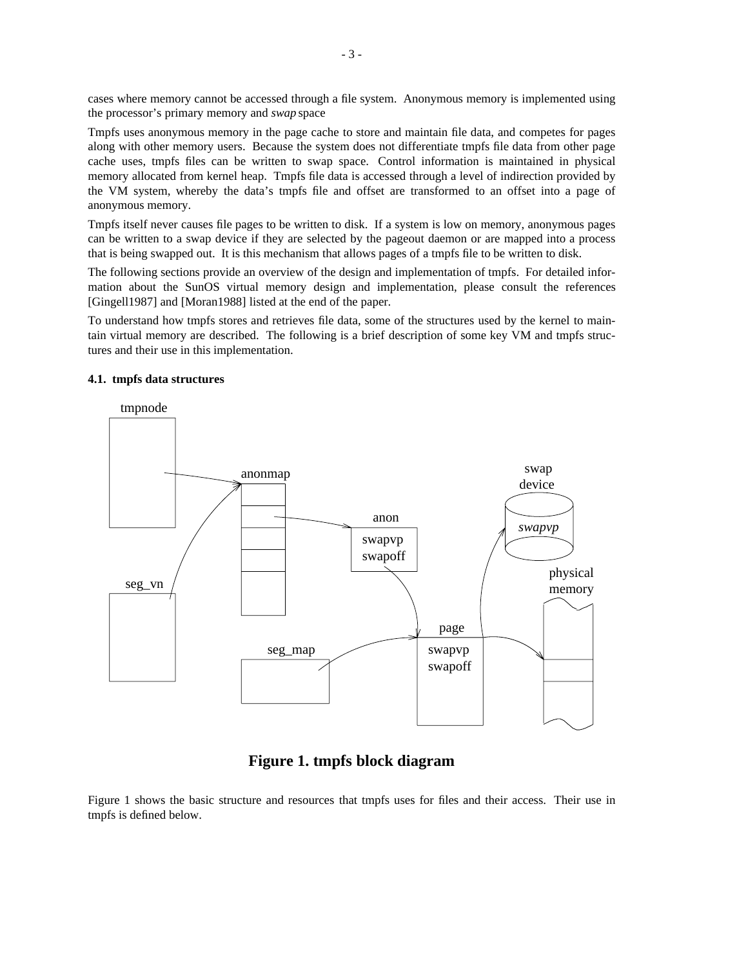cases where memory cannot be accessed through a file system. Anonymous memory is implemented using the processor's primary memory and *swap* space

Tmpfs uses anonymous memory in the page cache to store and maintain file data, and competes for pages along with other memory users. Because the system does not differentiate tmpfs file data from other page cache uses, tmpfs files can be written to swap space. Control information is maintained in physical memory allocated from kernel heap. Tmpfs file data is accessed through a level of indirection provided by the VM system, whereby the data's tmpfs file and offset are transformed to an offset into a page of anonymous memory.

Tmpfs itself never causes file pages to be written to disk. If a system is low on memory, anonymous pages can be written to a swap device if they are selected by the pageout daemon or are mapped into a process that is being swapped out. It is this mechanism that allows pages of a tmpfs file to be written to disk.

The following sections provide an overview of the design and implementation of tmpfs. For detailed information about the SunOS virtual memory design and implementation, please consult the references [Gingell1987] and [Moran1988] listed at the end of the paper.

To understand how tmpfs stores and retrieves file data, some of the structures used by the kernel to maintain virtual memory are described. The following is a brief description of some key VM and tmpfs structures and their use in this implementation.

### **4.1. tmpfs data structures**



# **Figure 1. tmpfs block diagram**

Figure 1 shows the basic structure and resources that tmpfs uses for files and their access. Their use in tmpfs is defined below.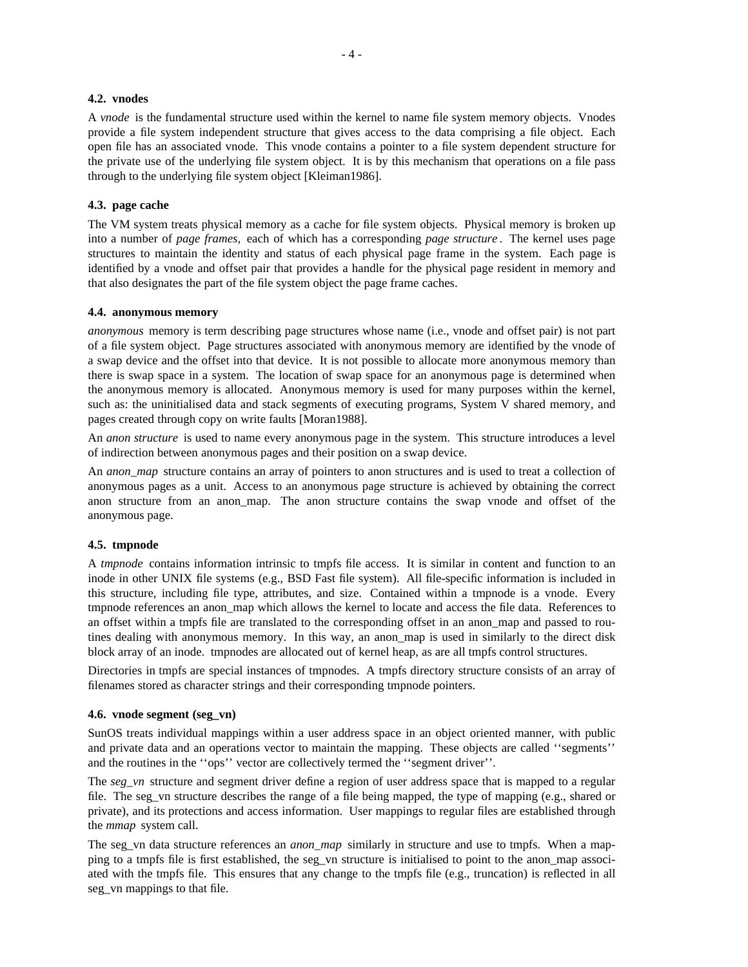### **4.2. vnodes**

A *vnode* is the fundamental structure used within the kernel to name file system memory objects. Vnodes provide a file system independent structure that gives access to the data comprising a file object. Each open file has an associated vnode. This vnode contains a pointer to a file system dependent structure for the private use of the underlying file system object. It is by this mechanism that operations on a file pass through to the underlying file system object [Kleiman1986].

### **4.3. page cache**

The VM system treats physical memory as a cache for file system objects. Physical memory is broken up into a number of *page frames,* each of which has a corresponding *page structure* . The kernel uses page structures to maintain the identity and status of each physical page frame in the system. Each page is identified by a vnode and offset pair that provides a handle for the physical page resident in memory and that also designates the part of the file system object the page frame caches.

#### **4.4. anonymous memory**

*anonymous* memory is term describing page structures whose name (i.e., vnode and offset pair) is not part of a file system object. Page structures associated with anonymous memory are identified by the vnode of a swap device and the offset into that device. It is not possible to allocate more anonymous memory than there is swap space in a system. The location of swap space for an anonymous page is determined when the anonymous memory is allocated. Anonymous memory is used for many purposes within the kernel, such as: the uninitialised data and stack segments of executing programs, System V shared memory, and pages created through copy on write faults [Moran1988].

An *anon structure* is used to name every anonymous page in the system. This structure introduces a level of indirection between anonymous pages and their position on a swap device.

An *anon* map structure contains an array of pointers to anon structures and is used to treat a collection of anonymous pages as a unit. Access to an anonymous page structure is achieved by obtaining the correct anon structure from an anon\_map. The anon structure contains the swap vnode and offset of the anonymous page.

### **4.5. tmpnode**

A *tmpnode* contains information intrinsic to tmpfs file access. It is similar in content and function to an inode in other UNIX file systems (e.g., BSD Fast file system). All file-specific information is included in this structure, including file type, attributes, and size. Contained within a tmpnode is a vnode. Every tmpnode references an anon\_map which allows the kernel to locate and access the file data. References to an offset within a tmpfs file are translated to the corresponding offset in an anon\_map and passed to routines dealing with anonymous memory. In this way, an anon\_map is used in similarly to the direct disk block array of an inode. tmpnodes are allocated out of kernel heap, as are all tmpfs control structures.

Directories in tmpfs are special instances of tmpnodes. A tmpfs directory structure consists of an array of filenames stored as character strings and their corresponding tmpnode pointers.

### **4.6. vnode segment (seg\_vn)**

SunOS treats individual mappings within a user address space in an object oriented manner, with public and private data and an operations vector to maintain the mapping. These objects are called ''segments'' and the routines in the ''ops'' vector are collectively termed the ''segment driver''.

The *seg\_vn* structure and segment driver define a region of user address space that is mapped to a regular file. The seg\_vn structure describes the range of a file being mapped, the type of mapping (e.g., shared or private), and its protections and access information. User mappings to regular files are established through the *mmap* system call.

The seg\_vn data structure references an *anon\_map* similarly in structure and use to tmpfs. When a mapping to a tmpfs file is first established, the seg\_vn structure is initialised to point to the anon\_map associated with the tmpfs file. This ensures that any change to the tmpfs file (e.g., truncation) is reflected in all seg\_vn mappings to that file.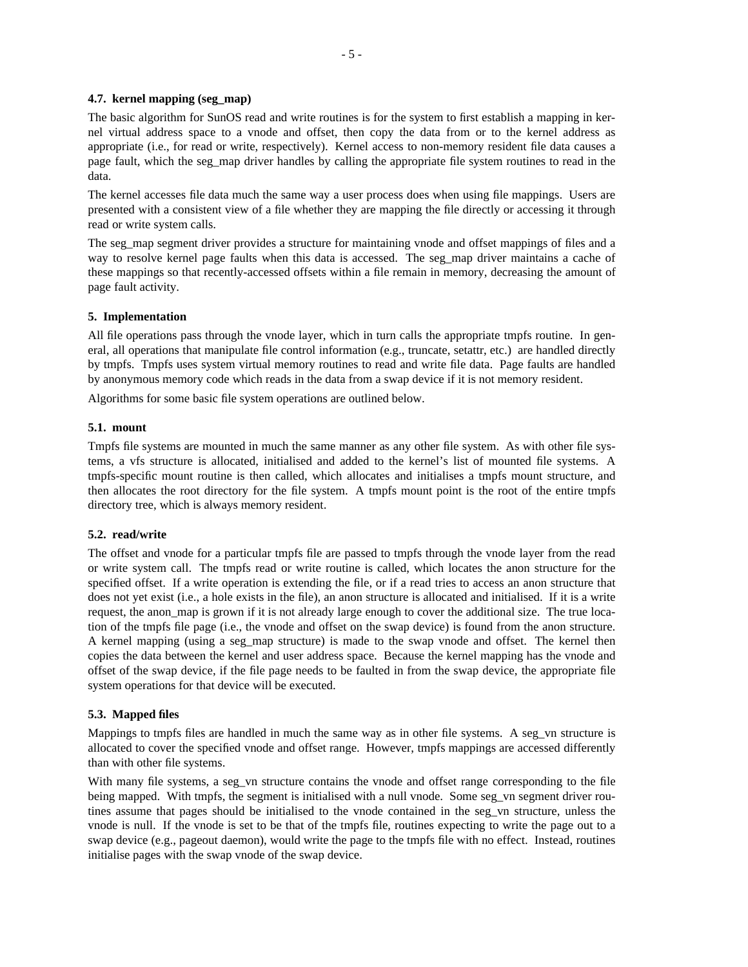## **4.7. kernel mapping (seg\_map)**

The basic algorithm for SunOS read and write routines is for the system to first establish a mapping in kernel virtual address space to a vnode and offset, then copy the data from or to the kernel address as appropriate (i.e., for read or write, respectively). Kernel access to non-memory resident file data causes a page fault, which the seg\_map driver handles by calling the appropriate file system routines to read in the data.

The kernel accesses file data much the same way a user process does when using file mappings. Users are presented with a consistent view of a file whether they are mapping the file directly or accessing it through read or write system calls.

The seg\_map segment driver provides a structure for maintaining vnode and offset mappings of files and a way to resolve kernel page faults when this data is accessed. The seg\_map driver maintains a cache of these mappings so that recently-accessed offsets within a file remain in memory, decreasing the amount of page fault activity.

### **5. Implementation**

All file operations pass through the vnode layer, which in turn calls the appropriate tmpfs routine. In general, all operations that manipulate file control information (e.g., truncate, setattr, etc.) are handled directly by tmpfs. Tmpfs uses system virtual memory routines to read and write file data. Page faults are handled by anonymous memory code which reads in the data from a swap device if it is not memory resident.

Algorithms for some basic file system operations are outlined below.

# **5.1. mount**

Tmpfs file systems are mounted in much the same manner as any other file system. As with other file systems, a vfs structure is allocated, initialised and added to the kernel's list of mounted file systems. A tmpfs-specific mount routine is then called, which allocates and initialises a tmpfs mount structure, and then allocates the root directory for the file system. A tmpfs mount point is the root of the entire tmpfs directory tree, which is always memory resident.

# **5.2. read/write**

The offset and vnode for a particular tmpfs file are passed to tmpfs through the vnode layer from the read or write system call. The tmpfs read or write routine is called, which locates the anon structure for the specified offset. If a write operation is extending the file, or if a read tries to access an anon structure that does not yet exist (i.e., a hole exists in the file), an anon structure is allocated and initialised. If it is a write request, the anon\_map is grown if it is not already large enough to cover the additional size. The true location of the tmpfs file page (i.e., the vnode and offset on the swap device) is found from the anon structure. A kernel mapping (using a seg\_map structure) is made to the swap vnode and offset. The kernel then copies the data between the kernel and user address space. Because the kernel mapping has the vnode and offset of the swap device, if the file page needs to be faulted in from the swap device, the appropriate file system operations for that device will be executed.

# **5.3. Mapped files**

Mappings to tmpfs files are handled in much the same way as in other file systems. A seg\_vn structure is allocated to cover the specified vnode and offset range. However, tmpfs mappings are accessed differently than with other file systems.

With many file systems, a seg\_vn structure contains the vnode and offset range corresponding to the file being mapped. With tmpfs, the segment is initialised with a null vnode. Some seg\_vn segment driver routines assume that pages should be initialised to the vnode contained in the seg\_vn structure, unless the vnode is null. If the vnode is set to be that of the tmpfs file, routines expecting to write the page out to a swap device (e.g., pageout daemon), would write the page to the tmpfs file with no effect. Instead, routines initialise pages with the swap vnode of the swap device.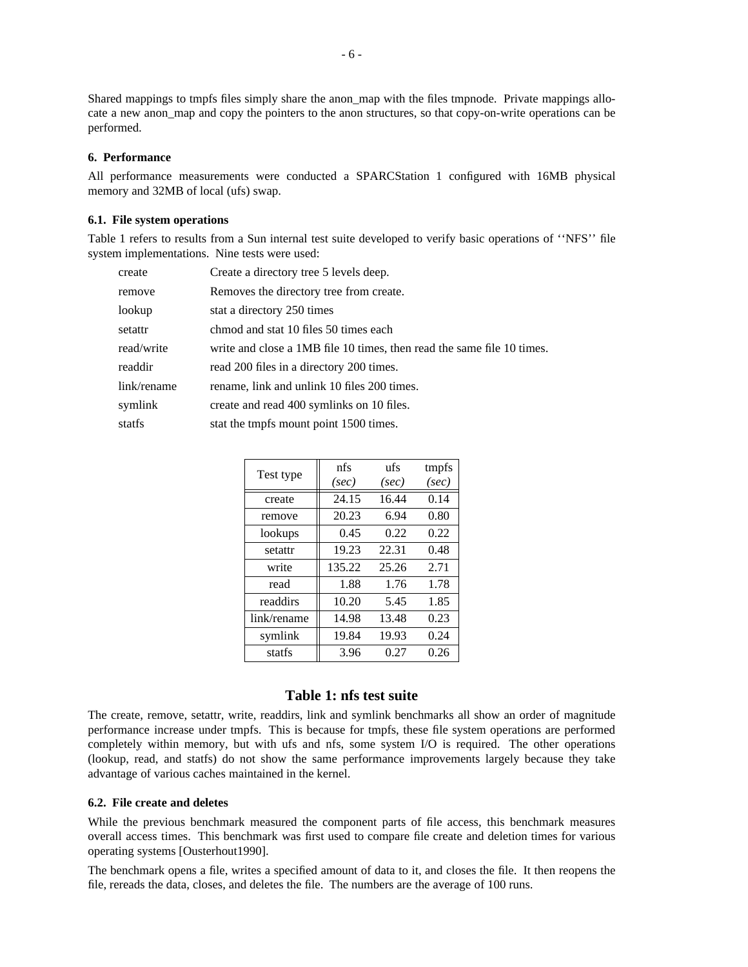Shared mappings to tmpfs files simply share the anon\_map with the files tmpnode. Private mappings allocate a new anon\_map and copy the pointers to the anon structures, so that copy-on-write operations can be performed.

### **6. Performance**

All performance measurements were conducted a SPARCStation 1 configured with 16MB physical memory and 32MB of local (ufs) swap.

# **6.1. File system operations**

Table 1 refers to results from a Sun internal test suite developed to verify basic operations of ''NFS'' file system implementations. Nine tests were used:

| create      | Create a directory tree 5 levels deep.                                 |
|-------------|------------------------------------------------------------------------|
| remove      | Removes the directory tree from create.                                |
| lookup      | stat a directory 250 times                                             |
| setattr     | chmod and stat 10 files 50 times each                                  |
| read/write  | write and close a 1MB file 10 times, then read the same file 10 times. |
| readdir     | read 200 files in a directory 200 times.                               |
| link/rename | rename, link and unlink 10 files 200 times.                            |
| symlink     | create and read 400 symlinks on 10 files.                              |
| statfs      | stat the tmpfs mount point 1500 times.                                 |

| Test type   | nfs    | ufs   | tmpfs |
|-------------|--------|-------|-------|
|             | (sec)  | (sec) | (sec) |
| create      | 24.15  | 16.44 | 0.14  |
| remove      | 20.23  | 6.94  | 0.80  |
| lookups     | 0.45   | 0.22  | 0.22  |
| setattr     | 19.23  | 22.31 | 0.48  |
| write       | 135.22 | 25.26 | 2.71  |
| read        | 1.88   | 1.76  | 1.78  |
| readdirs    | 10.20  | 5.45  | 1.85  |
| link/rename | 14.98  | 13.48 | 0.23  |
| symlink     | 19.84  | 19.93 | 0.24  |
| statfs      | 3.96   | 0.27  | 0.26  |

### **Table 1: nfs test suite**

The create, remove, setattr, write, readdirs, link and symlink benchmarks all show an order of magnitude performance increase under tmpfs. This is because for tmpfs, these file system operations are performed completely within memory, but with ufs and nfs, some system I/O is required. The other operations (lookup, read, and statfs) do not show the same performance improvements largely because they take advantage of various caches maintained in the kernel.

### **6.2. File create and deletes**

While the previous benchmark measured the component parts of file access, this benchmark measures overall access times. This benchmark was first used to compare file create and deletion times for various operating systems [Ousterhout1990].

The benchmark opens a file, writes a specified amount of data to it, and closes the file. It then reopens the file, rereads the data, closes, and deletes the file. The numbers are the average of 100 runs.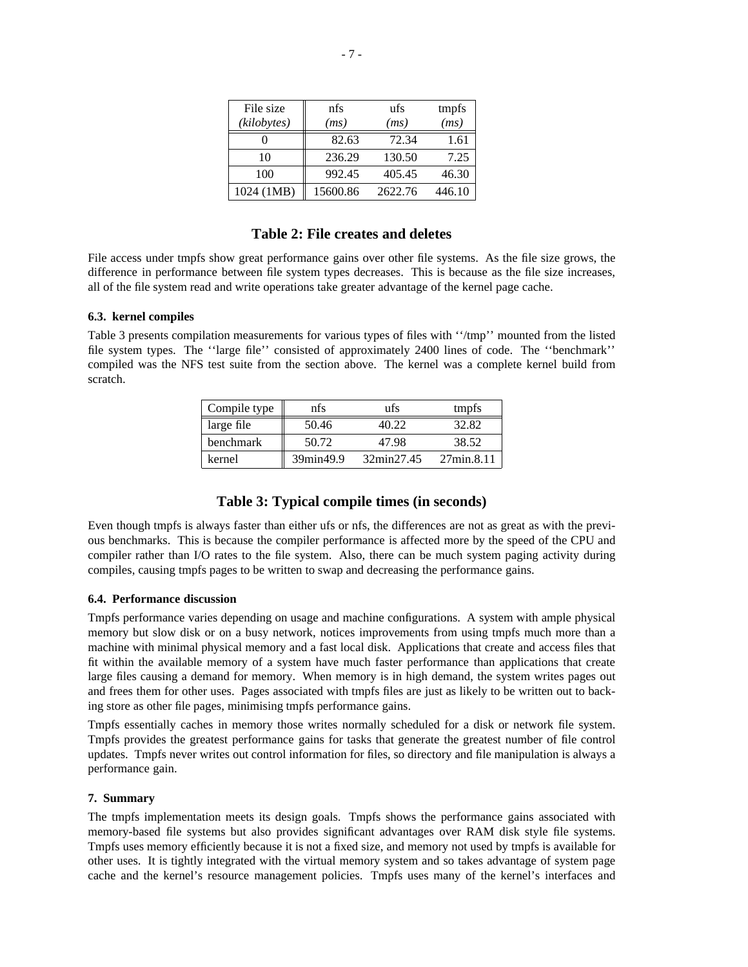| File size   | nfs      | ufs     | tmpfs  |
|-------------|----------|---------|--------|
| (kilobytes) | (ms)     | (ms)    | (ms)   |
|             | 82.63    | 72.34   | 1.61   |
| 10          | 236.29   | 130.50  | 7.25   |
| 100         | 992.45   | 405.45  | 46.30  |
| 1024 (1MB)  | 15600.86 | 2622.76 | 446.10 |

# **Table 2: File creates and deletes**

File access under tmpfs show great performance gains over other file systems. As the file size grows, the difference in performance between file system types decreases. This is because as the file size increases, all of the file system read and write operations take greater advantage of the kernel page cache.

# **6.3. kernel compiles**

Table 3 presents compilation measurements for various types of files with ''/tmp'' mounted from the listed file system types. The ''large file'' consisted of approximately 2400 lines of code. The ''benchmark'' compiled was the NFS test suite from the section above. The kernel was a complete kernel build from scratch.

| Compile type | nfs       | ufs        | tmpfs      |
|--------------|-----------|------------|------------|
| large file   | 50.46     | 40 22      | 32.82      |
| benchmark    | 50.72     | 47.98      | 38.52      |
| kernel       | 39min49.9 | 32min27.45 | 27min.8.11 |

# **Table 3: Typical compile times (in seconds)**

Even though tmpfs is always faster than either ufs or nfs, the differences are not as great as with the previous benchmarks. This is because the compiler performance is affected more by the speed of the CPU and compiler rather than I/O rates to the file system. Also, there can be much system paging activity during compiles, causing tmpfs pages to be written to swap and decreasing the performance gains.

#### **6.4. Performance discussion**

Tmpfs performance varies depending on usage and machine configurations. A system with ample physical memory but slow disk or on a busy network, notices improvements from using tmpfs much more than a machine with minimal physical memory and a fast local disk. Applications that create and access files that fit within the available memory of a system have much faster performance than applications that create large files causing a demand for memory. When memory is in high demand, the system writes pages out and frees them for other uses. Pages associated with tmpfs files are just as likely to be written out to backing store as other file pages, minimising tmpfs performance gains.

Tmpfs essentially caches in memory those writes normally scheduled for a disk or network file system. Tmpfs provides the greatest performance gains for tasks that generate the greatest number of file control updates. Tmpfs never writes out control information for files, so directory and file manipulation is always a performance gain.

### **7. Summary**

The tmpfs implementation meets its design goals. Tmpfs shows the performance gains associated with memory-based file systems but also provides significant advantages over RAM disk style file systems. Tmpfs uses memory efficiently because it is not a fixed size, and memory not used by tmpfs is available for other uses. It is tightly integrated with the virtual memory system and so takes advantage of system page cache and the kernel's resource management policies. Tmpfs uses many of the kernel's interfaces and